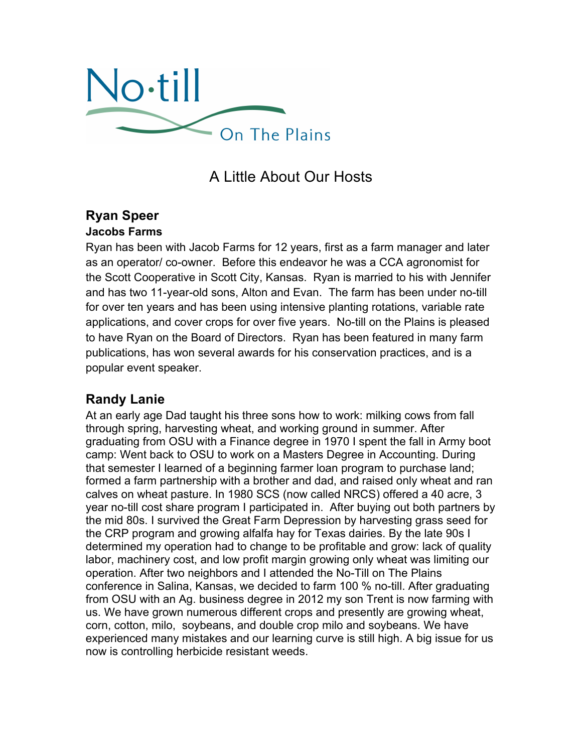

# A Little About Our Hosts

#### **Ryan Speer Jacobs Farms**

Ryan has been with Jacob Farms for 12 years, first as a farm manager and later as an operator/ co-owner. Before this endeavor he was a CCA agronomist for the Scott Cooperative in Scott City, Kansas. Ryan is married to his with Jennifer and has two 11-year-old sons, Alton and Evan. The farm has been under no-till for over ten years and has been using intensive planting rotations, variable rate applications, and cover crops for over five years. No-till on the Plains is pleased to have Ryan on the Board of Directors. Ryan has been featured in many farm publications, has won several awards for his conservation practices, and is a popular event speaker.

# **Randy Lanie**

At an early age Dad taught his three sons how to work: milking cows from fall through spring, harvesting wheat, and working ground in summer. After graduating from OSU with a Finance degree in 1970 I spent the fall in Army boot camp: Went back to OSU to work on a Masters Degree in Accounting. During that semester I learned of a beginning farmer loan program to purchase land; formed a farm partnership with a brother and dad, and raised only wheat and ran calves on wheat pasture. In 1980 SCS (now called NRCS) offered a 40 acre, 3 year no-till cost share program I participated in. After buying out both partners by the mid 80s. I survived the Great Farm Depression by harvesting grass seed for the CRP program and growing alfalfa hay for Texas dairies. By the late 90s I determined my operation had to change to be profitable and grow: lack of quality labor, machinery cost, and low profit margin growing only wheat was limiting our operation. After two neighbors and I attended the No-Till on The Plains conference in Salina, Kansas, we decided to farm 100 % no-till. After graduating from OSU with an Ag. business degree in 2012 my son Trent is now farming with us. We have grown numerous different crops and presently are growing wheat, corn, cotton, milo, soybeans, and double crop milo and soybeans. We have experienced many mistakes and our learning curve is still high. A big issue for us now is controlling herbicide resistant weeds.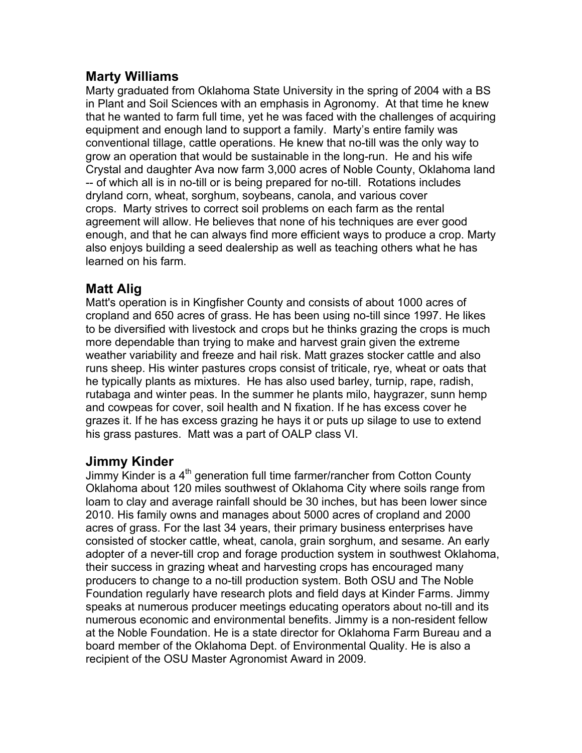#### **Marty Williams**

Marty graduated from Oklahoma State University in the spring of 2004 with a BS in Plant and Soil Sciences with an emphasis in Agronomy. At that time he knew that he wanted to farm full time, yet he was faced with the challenges of acquiring equipment and enough land to support a family. Marty's entire family was conventional tillage, cattle operations. He knew that no-till was the only way to grow an operation that would be sustainable in the long-run. He and his wife Crystal and daughter Ava now farm 3,000 acres of Noble County, Oklahoma land -- of which all is in no-till or is being prepared for no-till. Rotations includes dryland corn, wheat, sorghum, soybeans, canola, and various cover crops. Marty strives to correct soil problems on each farm as the rental agreement will allow. He believes that none of his techniques are ever good enough, and that he can always find more efficient ways to produce a crop. Marty also enjoys building a seed dealership as well as teaching others what he has learned on his farm.

## **Matt Alig**

Matt's operation is in Kingfisher County and consists of about 1000 acres of cropland and 650 acres of grass. He has been using no-till since 1997. He likes to be diversified with livestock and crops but he thinks grazing the crops is much more dependable than trying to make and harvest grain given the extreme weather variability and freeze and hail risk. Matt grazes stocker cattle and also runs sheep. His winter pastures crops consist of triticale, rye, wheat or oats that he typically plants as mixtures. He has also used barley, turnip, rape, radish, rutabaga and winter peas. In the summer he plants milo, haygrazer, sunn hemp and cowpeas for cover, soil health and N fixation. If he has excess cover he grazes it. If he has excess grazing he hays it or puts up silage to use to extend his grass pastures. Matt was a part of OALP class VI.

## **Jimmy Kinder**

Jimmy Kinder is a  $4<sup>th</sup>$  generation full time farmer/rancher from Cotton County Oklahoma about 120 miles southwest of Oklahoma City where soils range from loam to clay and average rainfall should be 30 inches, but has been lower since 2010. His family owns and manages about 5000 acres of cropland and 2000 acres of grass. For the last 34 years, their primary business enterprises have consisted of stocker cattle, wheat, canola, grain sorghum, and sesame. An early adopter of a never-till crop and forage production system in southwest Oklahoma, their success in grazing wheat and harvesting crops has encouraged many producers to change to a no-till production system. Both OSU and The Noble Foundation regularly have research plots and field days at Kinder Farms. Jimmy speaks at numerous producer meetings educating operators about no-till and its numerous economic and environmental benefits. Jimmy is a non-resident fellow at the Noble Foundation. He is a state director for Oklahoma Farm Bureau and a board member of the Oklahoma Dept. of Environmental Quality. He is also a recipient of the OSU Master Agronomist Award in 2009.